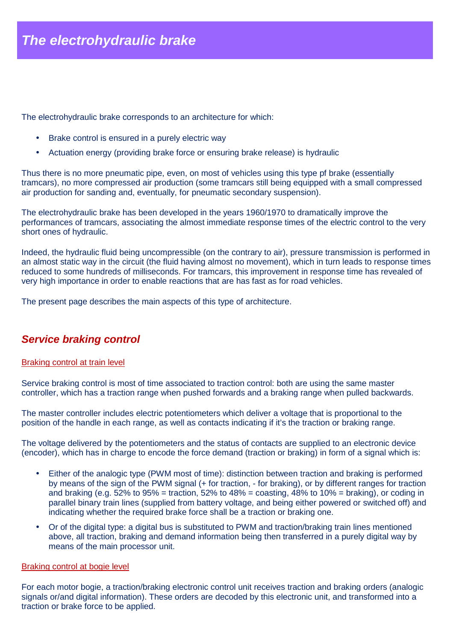The electrohydraulic brake corresponds to an architecture for which:

- Brake control is ensured in a purely electric way
- Actuation energy (providing brake force or ensuring brake release) is hydraulic

Thus there is no more pneumatic pipe, even, on most of vehicles using this type pf brake (essentially tramcars), no more compressed air production (some tramcars still being equipped with a small compressed air production for sanding and, eventually, for pneumatic secondary suspension).

The electrohydraulic brake has been developed in the years 1960/1970 to dramatically improve the performances of tramcars, associating the almost immediate response times of the electric control to the very short ones of hydraulic.

Indeed, the hydraulic fluid being uncompressible (on the contrary to air), pressure transmission is performed in an almost static way in the circuit (the fluid having almost no movement), which in turn leads to response times reduced to some hundreds of milliseconds. For tramcars, this improvement in response time has revealed of very high importance in order to enable reactions that are has fast as for road vehicles.

The present page describes the main aspects of this type of architecture.

# **Service braking control**

#### Braking control at train level

Service braking control is most of time associated to traction control: both are using the same master controller, which has a traction range when pushed forwards and a braking range when pulled backwards.

The master controller includes electric potentiometers which deliver a voltage that is proportional to the position of the handle in each range, as well as contacts indicating if it's the traction or braking range.

The voltage delivered by the potentiometers and the status of contacts are supplied to an electronic device (encoder), which has in charge to encode the force demand (traction or braking) in form of a signal which is:

- Either of the analogic type (PWM most of time): distinction between traction and braking is performed by means of the sign of the PWM signal (+ for traction, - for braking), or by different ranges for traction and braking (e.g. 52% to 95% = traction, 52% to 48% = coasting, 48% to 10% = braking), or coding in parallel binary train lines (supplied from battery voltage, and being either powered or switched off) and indicating whether the required brake force shall be a traction or braking one.
- Or of the digital type: a digital bus is substituted to PWM and traction/braking train lines mentioned above, all traction, braking and demand information being then transferred in a purely digital way by means of the main processor unit.

#### Braking control at bogie level

For each motor bogie, a traction/braking electronic control unit receives traction and braking orders (analogic signals or/and digital information). These orders are decoded by this electronic unit, and transformed into a traction or brake force to be applied.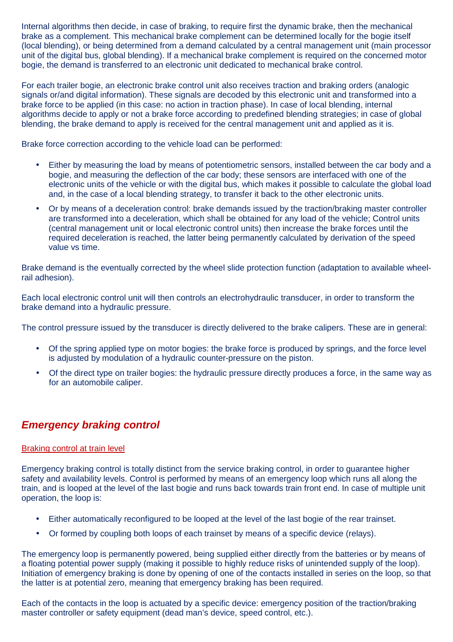Internal algorithms then decide, in case of braking, to require first the dynamic brake, then the mechanical brake as a complement. This mechanical brake complement can be determined locally for the bogie itself (local blending), or being determined from a demand calculated by a central management unit (main processor unit of the digital bus, global blending). If a mechanical brake complement is required on the concerned motor bogie, the demand is transferred to an electronic unit dedicated to mechanical brake control.

For each trailer bogie, an electronic brake control unit also receives traction and braking orders (analogic signals or/and digital information). These signals are decoded by this electronic unit and transformed into a brake force to be applied (in this case: no action in traction phase). In case of local blending, internal algorithms decide to apply or not a brake force according to predefined blending strategies; in case of global blending, the brake demand to apply is received for the central management unit and applied as it is.

Brake force correction according to the vehicle load can be performed:

- Either by measuring the load by means of potentiometric sensors, installed between the car body and a bogie, and measuring the deflection of the car body; these sensors are interfaced with one of the electronic units of the vehicle or with the digital bus, which makes it possible to calculate the global load and, in the case of a local blending strategy, to transfer it back to the other electronic units.
- Or by means of a deceleration control: brake demands issued by the traction/braking master controller are transformed into a deceleration, which shall be obtained for any load of the vehicle; Control units (central management unit or local electronic control units) then increase the brake forces until the required deceleration is reached, the latter being permanently calculated by derivation of the speed value vs time.

Brake demand is the eventually corrected by the wheel slide protection function (adaptation to available wheelrail adhesion).

Each local electronic control unit will then controls an electrohydraulic transducer, in order to transform the brake demand into a hydraulic pressure.

The control pressure issued by the transducer is directly delivered to the brake calipers. These are in general:

- Of the spring applied type on motor bogies: the brake force is produced by springs, and the force level is adjusted by modulation of a hydraulic counter-pressure on the piston.
- Of the direct type on trailer bogies: the hydraulic pressure directly produces a force, in the same way as for an automobile caliper.

# **Emergency braking control**

### Braking control at train level

Emergency braking control is totally distinct from the service braking control, in order to guarantee higher safety and availability levels. Control is performed by means of an emergency loop which runs all along the train, and is looped at the level of the last bogie and runs back towards train front end. In case of multiple unit operation, the loop is:

- Either automatically reconfigured to be looped at the level of the last bogie of the rear trainset.
- Or formed by coupling both loops of each trainset by means of a specific device (relays).

The emergency loop is permanently powered, being supplied either directly from the batteries or by means of a floating potential power supply (making it possible to highly reduce risks of unintended supply of the loop). Initiation of emergency braking is done by opening of one of the contacts installed in series on the loop, so that the latter is at potential zero, meaning that emergency braking has been required.

Each of the contacts in the loop is actuated by a specific device: emergency position of the traction/braking master controller or safety equipment (dead man's device, speed control, etc.).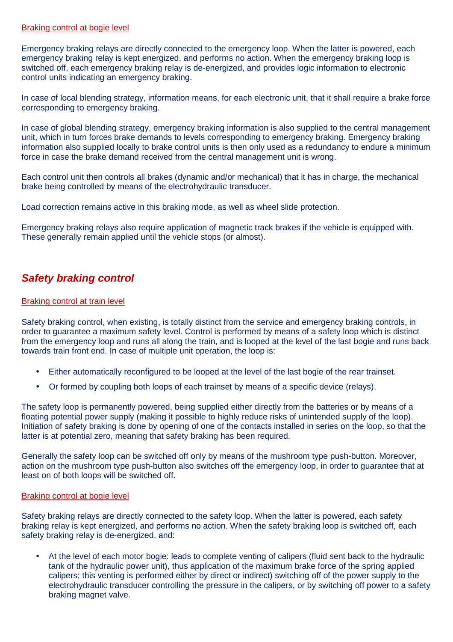### Braking control at bogie level

Emergency braking relays are directly connected to the emergency loop. When the latter is powered, each emergency braking relay is kept energized, and performs no action. When the emergency braking loop is switched off, each emergency braking relay is de-energized, and provides logic information to electronic control units indicating an emergency braking.

In case of local blending strategy, information means, for each electronic unit, that it shall require a brake force corresponding to emergency braking.

In case of global blending strategy, emergency braking information is also supplied to the central management unit, which in turn forces brake demands to levels corresponding to emergency braking. Emergency braking information also supplied locally to brake control units is then only used as a redundancy to endure a minimum force in case the brake demand received from the central management unit is wrong.

Each control unit then controls all brakes (dynamic and/or mechanical) that it has in charge, the mechanical brake being controlled by means of the electrohydraulic transducer.

Load correction remains active in this braking mode, as well as wheel slide protection.

Emergency braking relays also require application of magnetic track brakes if the vehicle is equipped with. These generally remain applied until the vehicle stops (or almost).

# **Safety braking control**

### Braking control at train level

Safety braking control, when existing, is totally distinct from the service and emergency braking controls, in order to guarantee a maximum safety level. Control is performed by means of a safety loop which is distinct from the emergency loop and runs all along the train, and is looped at the level of the last bogie and runs back towards train front end. In case of multiple unit operation, the loop is:

- Either automatically reconfigured to be looped at the level of the last bogie of the rear trainset.
- Or formed by coupling both loops of each trainset by means of a specific device (relays).

The safety loop is permanently powered, being supplied either directly from the batteries or by means of a floating potential power supply (making it possible to highly reduce risks of unintended supply of the loop). Initiation of safety braking is done by opening of one of the contacts installed in series on the loop, so that the latter is at potential zero, meaning that safety braking has been required.

Generally the safety loop can be switched off only by means of the mushroom type push-button. Moreover, action on the mushroom type push-button also switches off the emergency loop, in order to guarantee that at least on of both loops will be switched off.

#### Braking control at bogie level

Safety braking relays are directly connected to the safety loop. When the latter is powered, each safety braking relay is kept energized, and performs no action. When the safety braking loop is switched off, each safety braking relay is de-energized, and:

• At the level of each motor bogie: leads to complete venting of calipers (fluid sent back to the hydraulic tank of the hydraulic power unit), thus application of the maximum brake force of the spring applied calipers; this venting is performed either by direct or indirect) switching off of the power supply to the electrohydraulic transducer controlling the pressure in the calipers, or by switching off power to a safety braking magnet valve.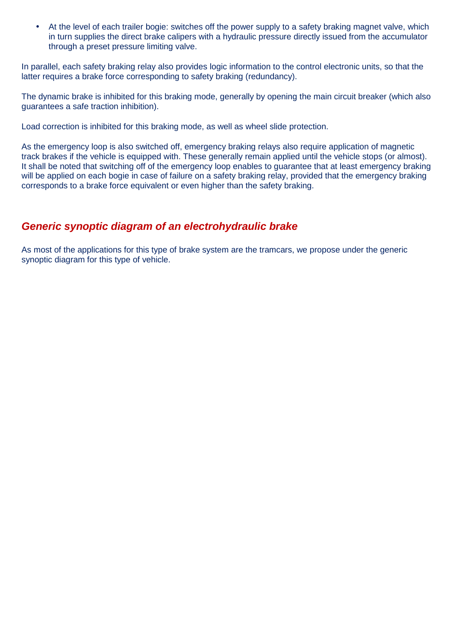• At the level of each trailer bogie: switches off the power supply to a safety braking magnet valve, which in turn supplies the direct brake calipers with a hydraulic pressure directly issued from the accumulator through a preset pressure limiting valve.

In parallel, each safety braking relay also provides logic information to the control electronic units, so that the latter requires a brake force corresponding to safety braking (redundancy).

The dynamic brake is inhibited for this braking mode, generally by opening the main circuit breaker (which also guarantees a safe traction inhibition).

Load correction is inhibited for this braking mode, as well as wheel slide protection.

As the emergency loop is also switched off, emergency braking relays also require application of magnetic track brakes if the vehicle is equipped with. These generally remain applied until the vehicle stops (or almost). It shall be noted that switching off of the emergency loop enables to guarantee that at least emergency braking will be applied on each bogie in case of failure on a safety braking relay, provided that the emergency braking corresponds to a brake force equivalent or even higher than the safety braking.

## **Generic synoptic diagram of an electrohydraulic brake**

As most of the applications for this type of brake system are the tramcars, we propose under the generic synoptic diagram for this type of vehicle.